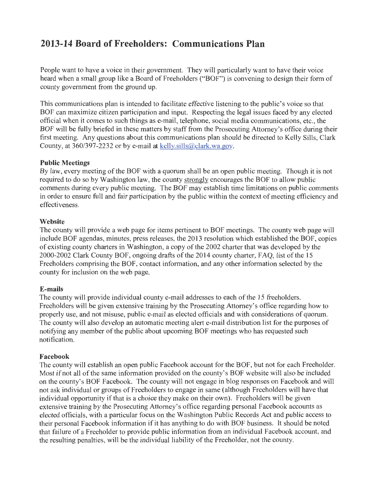# **2013-14 Board of Freeholders: Communications Plan**

People want to have a voice in their government. They will particularly want to have their voice heard when a small group like a Board of Freeholders ("BOF") is convening to design their form of county government from the ground up.

This communications plan is intended to facilitate effective listening to the public's voice so that BOF can maximize citizen participation and input. Respecting the legal issues faced by any elected official when it comes to such things as e-mail, telephone, social media communications, etc., the BOF will be fully briefed in these matters by staff from the Prosecuting Attorney's office during their first meeting. Any questions about this communications plan should be directed to Kelly Sills, Clark County, at 360/397-2232 or by e-mail at kelly.sills@clark.wa.gov.

# **Public Meetings**

By law, every meeting of the BOF with a quorum shall be an open public meeting. Though it is not required to do so by Washington law, the county strongly encourages the BOF to allow public comments during every public meeting. The BOF may establish time limitations on public comments in order to ensure full and fair participation by the public within the context of meeting efficiency and effectiveness.

## **Website**

The county will provide a web page for items pertinent to BOF meetings. The county web page will include BOF agendas, minutes, press releases, the 2013 resolution which established the BOF, copies of existing county charters in Washington, a copy of the 2002 charter that was developed by the 2000-2002 Clark County BOF, ongoing drafts of the 2014 county charter, FAQ, list of the 15 Freeholders comprising the BOF, contact information, and any other information selected by the county for inclusion on the web page.

# **E-mails**

The county will provide individual county e-mail addresses to each of the 15 freeholders. Freeholders will be given extensive training by the Prosecuting Attorney's office regarding how to properly use, and not misuse, public e-mail as elected officials and with considerations of quorum. The county will also develop an automatic meeting alert e-mail distribution list for the purposes of notifying any member of the public about upcoming BOF meetings who has requested such notification.

## **Facebook**

The county will establish an open public Facebook account for the BOF, but not for each Freeholder. Most if not all of the same information provided on the county's BOF website will also be included on the county's BOF Facebook. The county will not engage in blog responses on Facebook and will not ask individual or groups of Freeholders to engage in same (although Freeholders will have that individual opportunity if that is a choice they make on their own). Freeholders will be given extensive training by the Prosecuting Attorney's office regarding personal Facebook accounts as elected officials, with a particular focus on the Washington Public Records Act and public access to their personal Facebook information if it has anything to do with BOF business. It should be noted that failure of a Freeholder to provide public information from an individual Facebook account, and the resulting penalties, will be the individual liability of the Freeholder, not the county.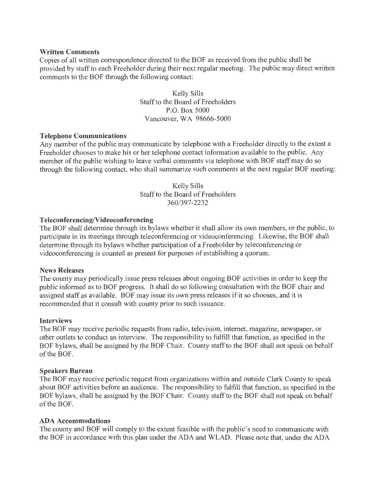#### **Written Comments**

Copies of all written correspondence directed to the BOF as received from the public shall be provided by staff to each Freeholder during their next regular meeting. The public may direct written comments to the BOF through the following contact:

> Kelly Sills Staff to the Board of Freeholders P.O. Box 5000 Vancouver, WA 98666-5000

## **Telephone Communications**

Any member of the public may communicate by telephone with a Freeholder directly to the extent a Freeholder chooses to make his or her telephone contact information available to the public. Any member of the public wishing to leave verbal comments via telephone with BOF staff may do so through the following contact, who shall summarize such comments at the next regular BOF meeting:

> Kelly Sills Staff to the Board of Freeholders 360/397-2232

## **Teleconferencing/Videoconferencing**

The BOF shall determine through its bylaws whether it shall allow its own members, or the public, to participate in its meetings through teleconferencing or videoconferencing. Likewise, the BOF shall determine through its bylaws whether participation of a Freeholder by teleconferencing or videoconferencing is counted as present for purposes of establishing a quorum.

#### **News Releases**

The county may periodically issue press releases about ongoing BOF activities in order to keep the public informed as to BOF progress. It shall do so following consultation with the BOF chair and assigned staff as available. BOF may issue its own press releases if it so chooses, and it is recommended that it consult with county prior to such issuance.

#### **Interviews**

The BOF may receive periodic requests from radio, television, internet, magazine, newspaper, or other outlets to conduct an interview. The responsibility to fulfill that function, as specified in the BOF bylaws, shall be assigned by the BOF Chair. County staff to the BOF shall not speak on behalf of the BOF.

#### **Speakers Bureau**

The BOF may receive periodic request from organizations within and outside Clark County to speak about BOF activities before an audience. The responsibility to fulfill that function, as specified in the BOF bylaws, shall be assigned by the BOF Chair. County staff to the BOF shall not speak on behalf of the BOF.

#### **ADA Accommodations**

The county and BOF will comply to the extent feasible with the public's need to communicate with the BOF in accordance with this plan under the ADA and WLAD. Please note that, under the ADA